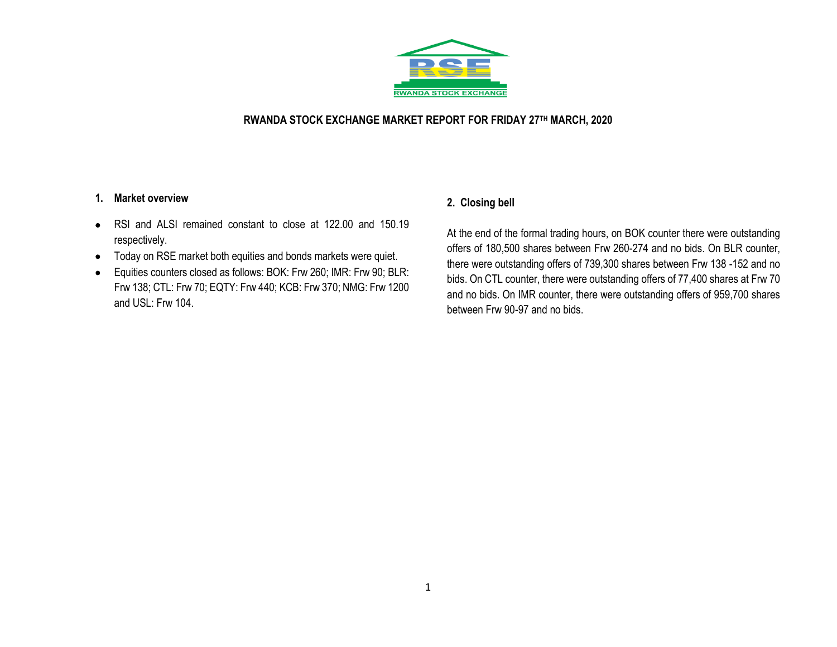

#### **RWANDA STOCK EXCHANGE MARKET REPORT FOR FRIDAY 27TH MARCH, 2020**

#### **1. Market overview**

- RSI and ALSI remained constant to close at 122.00 and 150.19 respectively.
- Today on RSE market both equities and bonds markets were quiet.
- Equities counters closed as follows: BOK: Frw 260; IMR: Frw 90; BLR: Frw 138; CTL: Frw 70; EQTY: Frw 440; KCB: Frw 370; NMG: Frw 1200 and USL: Frw 104.

### **2. Closing bell**

At the end of the formal trading hours, on BOK counter there were outstanding offers of 180,500 shares between Frw 260-274 and no bids. On BLR counter, there were outstanding offers of 739,300 shares between Frw 138 -152 and no bids. On CTL counter, there were outstanding offers of 77,400 shares at Frw 70 and no bids. On IMR counter, there were outstanding offers of 959,700 shares between Frw 90-97 and no bids.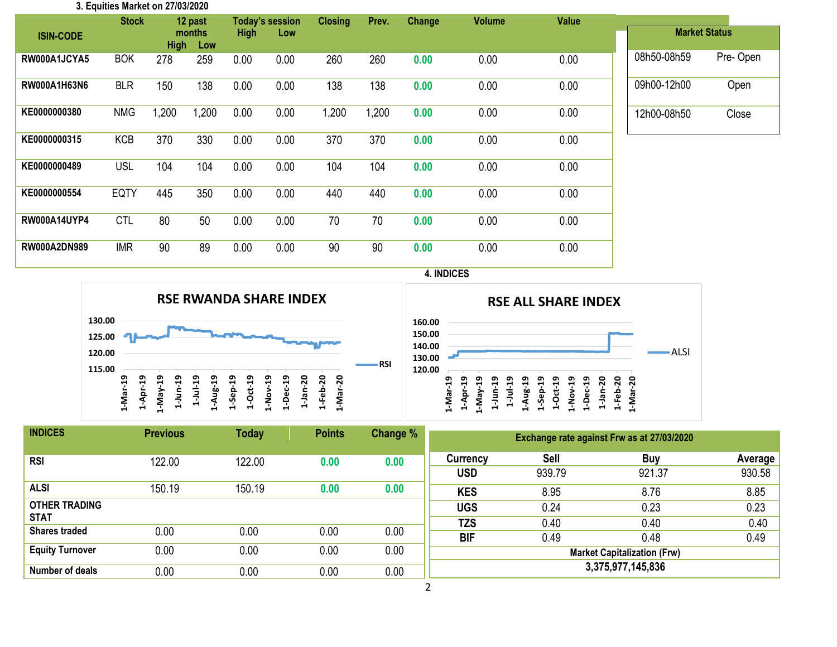| 3. Equities Market on 27/03/2020 |              |             |               |             |                        |                |       |        |               |              |             |                      |
|----------------------------------|--------------|-------------|---------------|-------------|------------------------|----------------|-------|--------|---------------|--------------|-------------|----------------------|
|                                  | <b>Stock</b> |             | 12 past       |             | <b>Today's session</b> | <b>Closing</b> | Prev. | Change | <b>Volume</b> | <b>Value</b> |             |                      |
| <b>ISIN-CODE</b>                 |              | <b>High</b> | months<br>Low | <b>High</b> | Low                    |                |       |        |               |              |             | <b>Market Status</b> |
| RW000A1JCYA5                     | <b>BOK</b>   | 278         | 259           | 0.00        | 0.00                   | 260            | 260   | 0.00   | 0.00          | 0.00         | 08h50-08h59 | Pre-Open             |
| RW000A1H63N6                     | <b>BLR</b>   | 150         | 138           | 0.00        | 0.00                   | 138            | 138   | 0.00   | 0.00          | 0.00         | 09h00-12h00 | Open                 |
| KE0000000380                     | <b>NMG</b>   | 1,200       | 1,200         | 0.00        | 0.00                   | 1,200          | 1,200 | 0.00   | 0.00          | 0.00         | 12h00-08h50 | Close                |
| KE0000000315                     | <b>KCB</b>   | 370         | 330           | 0.00        | 0.00                   | 370            | 370   | 0.00   | 0.00          | 0.00         |             |                      |
| KE0000000489                     | <b>USL</b>   | 104         | 104           | 0.00        | 0.00                   | 104            | 104   | 0.00   | 0.00          | 0.00         |             |                      |
| KE0000000554                     | <b>EQTY</b>  | 445         | 350           | 0.00        | 0.00                   | 440            | 440   | 0.00   | 0.00          | 0.00         |             |                      |
| <b>RW000A14UYP4</b>              | <b>CTL</b>   | 80          | 50            | 0.00        | 0.00                   | 70             | 70    | 0.00   | 0.00          | 0.00         |             |                      |
| RW000A2DN989                     | <b>IMR</b>   | 90          | 89            | 0.00        | 0.00                   | 90             | 90    | 0.00   | 0.00          | 0.00         |             |                      |

#### **4. INDICES**





| <b>INDICES</b>         | <b>Previous</b> | <b>Today</b> | <b>Points</b> | Change % | Exchange rate against Frw as at 27/03/2020 |             |            |         |  |  |
|------------------------|-----------------|--------------|---------------|----------|--------------------------------------------|-------------|------------|---------|--|--|
| <b>RSI</b>             | 122.00          | 122.00       | 0.00          | 0.00     | Currency                                   | <b>Sell</b> | <b>Buy</b> | Average |  |  |
|                        |                 |              |               |          | <b>USD</b>                                 | 939.79      | 921.37     | 930.58  |  |  |
| <b>ALSI</b>            | 150.19          | 150.19       | 0.00          | 0.00     | <b>KES</b>                                 | 8.95        | 8.76       | 8.85    |  |  |
| <b>OTHER TRADING</b>   |                 |              |               |          | <b>UGS</b>                                 | 0.24        | 0.23       | 0.23    |  |  |
| <b>STAT</b>            |                 |              |               |          | <b>TZS</b>                                 | 0.40        | 0.40       | 0.40    |  |  |
| <b>Shares traded</b>   | 0.00            | 0.00         | 0.00          | 0.00     | <b>BIF</b>                                 | 0.49        | 0.48       | 0.49    |  |  |
| <b>Equity Turnover</b> | 0.00            | 0.00         | 0.00          | 0.00     | <b>Market Capitalization (Frw)</b>         |             |            |         |  |  |
| Number of deals        | 0.00            | 0.00         | 0.00          | 0.00     | 3,375,977,145,836                          |             |            |         |  |  |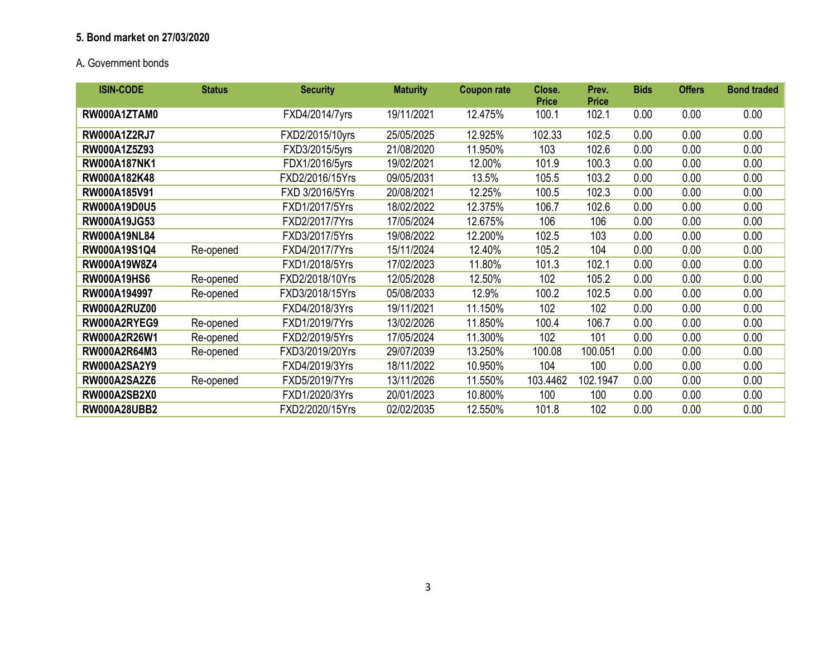## **5. Bond market on 27/03/2020**

# A**.** Government bonds

| <b>ISIN-CODE</b>    | <b>Status</b> | <b>Security</b> | <b>Maturity</b> | <b>Coupon rate</b> | Close.<br><b>Price</b> | Prev.<br><b>Price</b> | <b>Bids</b> | <b>Offers</b> | <b>Bond traded</b> |
|---------------------|---------------|-----------------|-----------------|--------------------|------------------------|-----------------------|-------------|---------------|--------------------|
| RW000A1ZTAM0        |               | FXD4/2014/7yrs  | 19/11/2021      | 12.475%            | 100.1                  | 102.1                 | 0.00        | 0.00          | 0.00               |
| <b>RW000A1Z2RJ7</b> |               | FXD2/2015/10yrs | 25/05/2025      | 12.925%            | 102.33                 | 102.5                 | 0.00        | 0.00          | 0.00               |
| RW000A1Z5Z93        |               | FXD3/2015/5yrs  | 21/08/2020      | 11.950%            | 103                    | 102.6                 | 0.00        | 0.00          | 0.00               |
| <b>RW000A187NK1</b> |               | FDX1/2016/5yrs  | 19/02/2021      | 12.00%             | 101.9                  | 100.3                 | 0.00        | 0.00          | 0.00               |
| RW000A182K48        |               | FXD2/2016/15Yrs | 09/05/2031      | 13.5%              | 105.5                  | 103.2                 | 0.00        | 0.00          | 0.00               |
| RW000A185V91        |               | FXD 3/2016/5Yrs | 20/08/2021      | 12.25%             | 100.5                  | 102.3                 | 0.00        | 0.00          | 0.00               |
| <b>RW000A19D0U5</b> |               | FXD1/2017/5Yrs  | 18/02/2022      | 12.375%            | 106.7                  | 102.6                 | 0.00        | 0.00          | 0.00               |
| RW000A19JG53        |               | FXD2/2017/7Yrs  | 17/05/2024      | 12.675%            | 106                    | 106                   | 0.00        | 0.00          | 0.00               |
| <b>RW000A19NL84</b> |               | FXD3/2017/5Yrs  | 19/08/2022      | 12.200%            | 102.5                  | 103                   | 0.00        | 0.00          | 0.00               |
| RW000A19S1Q4        | Re-opened     | FXD4/2017/7Yrs  | 15/11/2024      | 12.40%             | 105.2                  | 104                   | 0.00        | 0.00          | 0.00               |
| RW000A19W8Z4        |               | FXD1/2018/5Yrs  | 17/02/2023      | 11.80%             | 101.3                  | 102.1                 | 0.00        | 0.00          | 0.00               |
| <b>RW000A19HS6</b>  | Re-opened     | FXD2/2018/10Yrs | 12/05/2028      | 12.50%             | 102                    | 105.2                 | 0.00        | 0.00          | 0.00               |
| RW000A194997        | Re-opened     | FXD3/2018/15Yrs | 05/08/2033      | 12.9%              | 100.2                  | 102.5                 | 0.00        | 0.00          | 0.00               |
| <b>RW000A2RUZ00</b> |               | FXD4/2018/3Yrs  | 19/11/2021      | 11.150%            | 102                    | 102                   | 0.00        | 0.00          | 0.00               |
| RW000A2RYEG9        | Re-opened     | FXD1/2019/7Yrs  | 13/02/2026      | 11.850%            | 100.4                  | 106.7                 | 0.00        | 0.00          | 0.00               |
| RW000A2R26W1        | Re-opened     | FXD2/2019/5Yrs  | 17/05/2024      | 11.300%            | 102                    | 101                   | 0.00        | 0.00          | 0.00               |
| RW000A2R64M3        | Re-opened     | FXD3/2019/20Yrs | 29/07/2039      | 13.250%            | 100.08                 | 100.051               | 0.00        | 0.00          | 0.00               |
| <b>RW000A2SA2Y9</b> |               | FXD4/2019/3Yrs  | 18/11/2022      | 10.950%            | 104                    | 100                   | 0.00        | 0.00          | 0.00               |
| <b>RW000A2SA2Z6</b> | Re-opened     | FXD5/2019/7Yrs  | 13/11/2026      | 11.550%            | 103.4462               | 102.1947              | 0.00        | 0.00          | 0.00               |
| <b>RW000A2SB2X0</b> |               | FXD1/2020/3Yrs  | 20/01/2023      | 10.800%            | 100                    | 100                   | 0.00        | 0.00          | 0.00               |
| <b>RW000A28UBB2</b> |               | FXD2/2020/15Yrs | 02/02/2035      | 12.550%            | 101.8                  | 102                   | 0.00        | 0.00          | 0.00               |